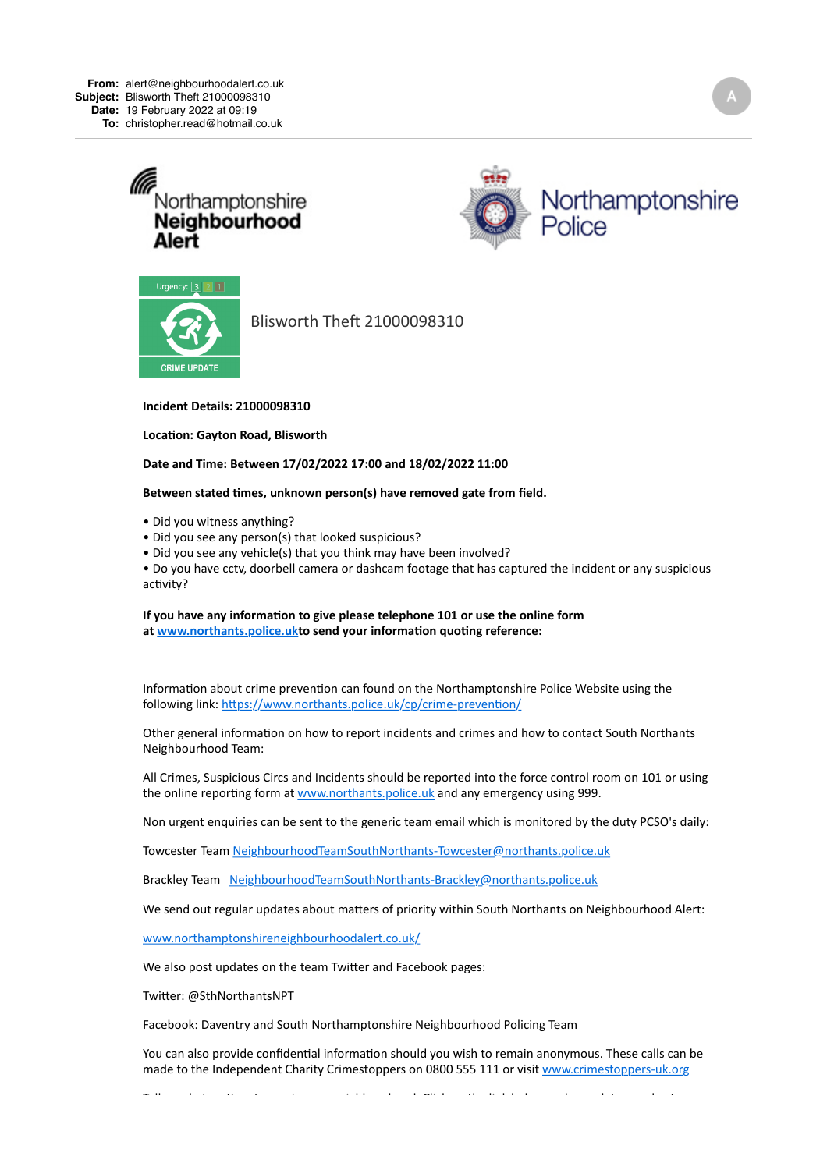





Blisworth Theft 21000098310

## **Incident Details: 21000098310**

**Location: Gayton Road, Blisworth** 

## Date and Time: Between 17/02/2022 17:00 and 18/02/2022 11:00

## Between stated times, unknown person(s) have removed gate from field.

• Did you witness anything?

- Did you see any person(s) that looked suspicious?
- Did you see any vehicle(s) that you think may have been involved?

• Do you have cctv, doorbell camera or dashcam footage that has captured the incident or any suspicious activity?

## If you have any information to give please telephone 101 or use the online form at www.northants.police.ukto send your information quoting reference:

Information about crime prevention can found on the Northamptonshire Police Website using the following link: https://www.northants.police.uk/cp/crime-prevention/

Other general information on how to report incidents and crimes and how to contact South Northants Neighbourhood Team:

All Crimes, Suspicious Circs and Incidents should be reported into the force control room on 101 or using the online reporting form at www.northants.police.uk and any emergency using 999.

Non urgent enquiries can be sent to the generic team email which is monitored by the duty PCSO's daily:

Towcester Team NeighbourhoodTeamSouthNorthants-Towcester@northants.police.uk

Brackley Team NeighbourhoodTeamSouthNorthants-Brackley@northants.police.uk

We send out regular updates about matters of priority within South Northants on Neighbourhood Alert:

[www.northamptonshireneighbourhoodalert.co.uk/](https://emea01.safelinks.protection.outlook.com/?url=https%3A%2F%2Fs-url.co%2FeiQAAA&data=04%7C01%7C%7Ccb0ead647e2243934eb008d9f388f01b%7C84df9e7fe9f640afb435aaaaaaaaaaaa%7C1%7C0%7C637808591730843512%7CUnknown%7CTWFpbGZsb3d8eyJWIjoiMC4wLjAwMDAiLCJQIjoiV2luMzIiLCJBTiI6Ik1haWwiLCJXVCI6Mn0%3D%7C3000&sdata=iQNpo9ndb9T8gPzTyFMdLPk6HirxZ08KU0CjV1A%2BBt4%3D&reserved=0)

We also post updates on the team Twitter and Facebook pages:

Twitter: @SthNorthantsNPT

Facebook: Daventry and South Northamptonshire Neighbourhood Policing Team

You can also provide confidential information should you wish to remain anonymous. These calls can be made to the Independent Charity Crimestoppers on 0800 555 111 or visit www.crimestoppers-uk.org

Tell  $\mathcal{M}$  in the Mersen control of the state  $\mathcal{M}$  in the  $\mathcal{M}$  and  $\mathcal{M}$  in the state  $\mathcal{M}$